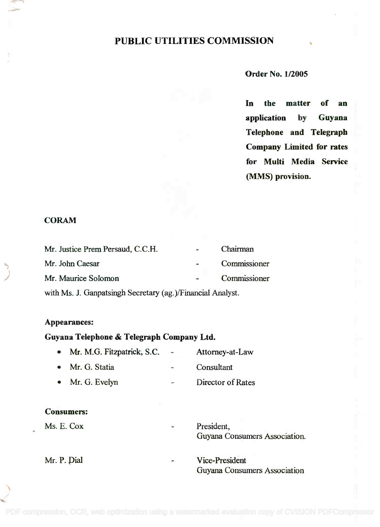# PUBLIC UTILITIES COMMISSION

Order No. 1/2005

In the matter of an **In the matter of an** application by Guyana **application by Guyana** Telephone and Telegraph **Telephone and Telegraph** Company Limited for rates **Company Limited for rates** for Multi Media Service **for Multi Media Service** (MMS) provision. (MMS) **provision.**

### CORAM

| Mr. Justice Prem Persaud, C.C.H.                           | ear. | Chairman     |  |  |
|------------------------------------------------------------|------|--------------|--|--|
| Mr. John Caesar                                            |      | Commissioner |  |  |
| Mr. Maurice Solomon                                        |      | Commissioner |  |  |
| with Ms. J. Ganpatsingh Secretary (ag.)/Financial Analyst. |      |              |  |  |

### Appearances: **Appearances:**

### Guyana Telephone & Telegraph Company Ltd. **Guyana Telephone & Telegraph Company Ltd.**

• Mr. M.G. Fitzpatrick, S.C. - Attorney-at-Law Mr. G. Statia Consultant • Mr. O. Statia Consultant Director of Rates  $•$  Mr. G. Evelyn

### Consumers:

Ms. E. Cox Guyana Consumers Association. Guyana Consumers Association. Mr. P. Dial Vice-President Vice· President Guyana Consumers Association Guyana Consumers Association President,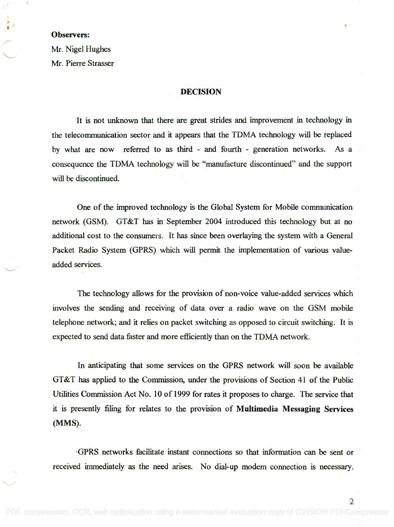### Observers: Observers:

Mr. Nigel Hughes Mr. Nigel Hughes Mr. Pierre Strasser Mr. Pierre Strasser

### DECISION

It is not unknown that there are great strides and improvement in technology in It is not unknown that there are great strides and improvement in technology in the telecommunication sector and it appears that the TDMA technology will be replaced the telecommunication sector and it appears that the TDMA technology will be replaced by what are now referred to as third - and fourth - generation networks. As a by what are now referred to as third - and fourth - generation networks. As a consequence the TDMA technology will be "manufacture discontinued" and the support consequence the TDMA technology will be "manufacture discontinued" and the support will be discontinued. will be discontinued.

One of the improved technology is the Global System for Mobile communication One of the improved technology is the Global System for Mobile communication network (GSM). GT&T has in September 2004 introduced this technology but at no network (GSM). GT&T has in September 2004 introduced this technology but at no additional cost to the consumers. It has since been overlaying the system with a General additional cost to the consumers. It has since been overlaying the system with a General Packet Radio System (GPRS) which will permit the implementation of various value-Packet Radio System (GPRS) which will permit the implementation of various valueadded services. added services.

The technology allows for the provision of non-voice value-added services which The technology allows for the provision of non-voice value-added services which involves the sending and receiving of data over a radio wave on the GSM mobile involves the sending and receiving of data over a radio wave on the GSM mobile telephone network; and it relies on packet switching as opposed to circuit switching. It is telephone network; and it relies on packet switching as opposed to circuit switching. It is expected to send data faster and more efficiently than on the TDMA network. expected to send data faster and more efficiently than on the TDMA network.

In anticipating that some services on the GPRS network will soon be available In anticipating that some services on the GPRS network will soon be available GT&T has applied to the Commission, under the provisions of Section 41 of the Public GT&T has applied to the Commission, under the provisions of Section 41 of the Public Utilities Commission Act No. 10 of 1999 for rates it proposes to charge. The service that Utilities Commission Act No. 10 of 1999 for rates it proposes to charge. The service that it is presently filing for relates to the provision of Multimedia Messaging Services it is presently filing for relates to the provision of **Multimedia** Messaging Services (MMS). (MMS).

-GPRS networks facilitate instant connections so that information can be sent or 'GPRS networks facilitate instant connections so that information can be sent or received immediately as the need arises. No dial-up modem connection is necessary. received immediately as the need arises. No dial~up modem connection is necessary.

2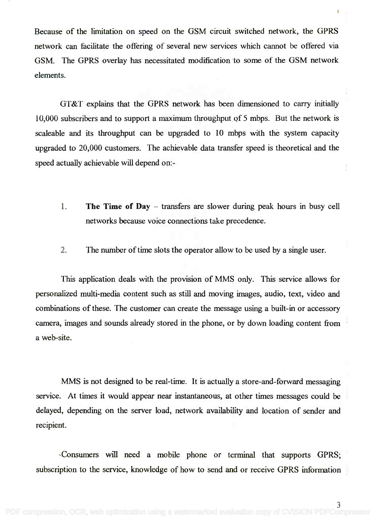Because of the limitation on speed on the GSM circuit switched network, the GPRS Because of the limitation on speed on the GSM circuit switched network, the GPRS network can facilitate the offering of several new services which cannot be offered via network can facilitate the offering of several new services which cannot be offered via GSM. The GPRS overlay has necessitated modification to some of the GSM network GSM. The GPRS overlay has necessitated modification to some of the GSM network elements. elements.

GT&T explains that the GPRS network has been dimensioned to carry initially GT&T explains that the GPRS network has been dimensioned to carry initially 10,000 subscribers and to support a maximum throughput of 5 mbps. But the network is 10,000 subscribers and to support a maximum throughput of 5 mbps. But the network is scaleable and its throughput can be upgraded to 10 mbps with the system capacity scaleable and its throughput can be upgraded to 10 mbps with the system capacity upgraded to 20,000 customers. The achievable data transfer speed is theoretical and the upgraded to 20,000 customers. The achievable data transfer speed is theoretical and the speed actually achievable will depend on:- speed actually achievable will depend on:-

- 1. The Time of Day transfers are slower during peak hours in busy cell 1. **The Time of Day -** transfers are slower during peak hours in busy cell networks because voice connections take precedence. networks because voice connections take precedence.
- 2. The number of time slots the operator allow to be used by a single user.

This application deals with the provision of MMS only. This service allows for This application deals with the provision of MMS only. This service allows for personalized multi-media content such as still and moving images, audio, text, video and personalized multi-media content such as still and moving images, audio, text, video and combinations of these. The customer can create the message using a built-in or accessory combinations of these. The customer can create the message using a built-in or accessory camera, images and sounds already stored in the phone, or by down loading content from camera, images and sounds already stored in the phone, or by down loading content from a web-site. a web-site.

MMS is not designed to be real-time. It is actually a store-and-forward messaging MMS is not designed to be real-time. It is actually a store-and-forward messaging service. At times it would appear near instantaneous, at other times messages could be delayed, depending on the server load, network availability and location of sender and delayed, depending on the server load, network availability and location of sender and recipient. recipient.

Consumers will need a mobile phone or terminal that supports GPRS; -Consumers will need a mobile phone or terminal that supports GPRS; subscription to the service, knowledge of how to send and or receive GPRS information subscription to the service, knowledge of how to send and or receive GPRS information

3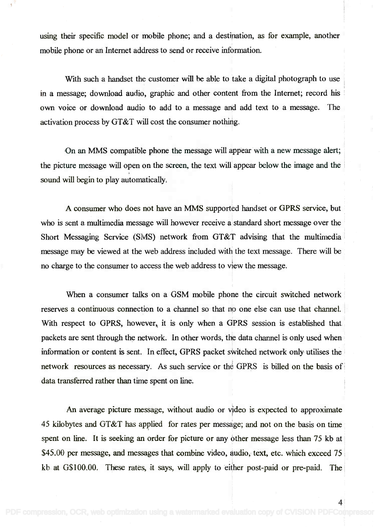using their specific model or mobile phone; and a destination, as for example, another using their specific model or mobile phone; and a destipation, as for example, another mobile phone or an Internet address to send or receive information. mobile phone or an Internet address to send or receive information.

With such a handset the customer will be able to take a digital photograph to use in a message; download audio, graphic and other content from the Internet; record his in a message; download audio, graphic and other content from the Internet; record his ' own voice or download audio to add to a message and add text to a message. The activation process by GT&T will cost the consumer nothing.

On an MMS compatible phone the message will appear with a new message alert; On an MMS compatible phone the message will appear with a new message alert; : the picture message will open on the screen, the text will appear below the image and the sound will begin to play automatically. sound will begin to play automatically.

A consumer who does not have an MMS supported handset or GPRS service, but A consumer who does not have an MMS supported handset or GPRS service, but who is sent a multimedia message will however receive a standard short message over the Short Messaging Service (SMS) network from GT&T advising that the multimedia message may be viewed at the web address included with the text message. There will be message may be viewed at the web address included with the text message. There will be no charge to the consumer to access the web address to view the message. ! no charge to the consumer to access the web address to view the message.

When a consumer talks on a GSM mobile phone the circuit switched network When a consumer talks on a GSM mobile phone the circuit switched network: reserves a continuous connection to a channel so that no one else can use that channel. With respect to GPRS, however, it is only when a GPRS session is established that With respect to GPRS, however, it is only when a GPRS session is established that packets are sent through the network. In other words, the data channel is only used when information or content is sent. In effect, GPRS packet switched network only utilises the I information or content is sent. In effect, GPRS packet sWitched network only utilises the : network resources as necessary. As such service or the GPRS is billed on the basis of . data transferred rather than time spent on line. data transferred rather than time spent on line. network resources as necessary. As such service or the GPRS is billed on the basis of:

An average picture message, without audio or video is expected to approximate An average picture message, without audio or Yjdeo is expected to approximate 45 kilobytes and GT&T has applied for rates per message; and not on the basis on time spent on line. It is seeking an order for picture or any other message less than 75 kb at \$45.00 per message, and messages that combine video, audio, text, etc. which exceed 75 kb at G\$100.00. These rates, it says, will apply to either post-paid or pre-paid. The

I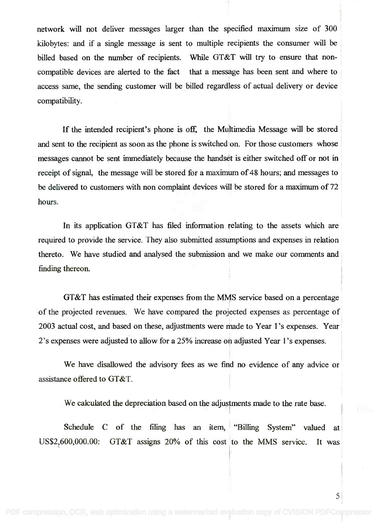network will not deliver messages larger than the specified maximum size of 300 kilobytes: and if a single message is sent to multiple recipients the consumer will be billed based on the number of recipients. While GT&T will try to ensure that noncompatible devices are alerted to the fact that a message has been sent and where to access same, the sending customer will be billed regardless of actual delivery or device compatibility. compatibility.

If the intended recipient's phone is off, the Multimedia Message will be stored and sent to the recipient as soon as the phone is switched on. For those customers whose messages cannot be sent immediately because the handset is either switched off or not in messages cannot be sent immediately because the handset is either switched off or not in <sup>I</sup> receipt of signal, the message will be stored for a maximum of 48 hours; and messages to be delivered to customers with non complaint devices will be stored for a maximum of 72 hours. hours.

In its application GT&T has filed information relating to the assets which are required to provide the service. They also submitted assumptions and expenses in relation thereto. We have studied and analysed the submission and we make our comments and thereto. We have studied and analysed the submission and we make our comments and finding thereon. finding thereon.

GT&T has estimated their expenses from the MMS service based on a percentage of the projected revenues. We have compared the projected expenses as percentage of 2003 actual cost, and based on these, adjustments were made to Year 1 's expenses. Year 2003 actual cost, and based on these, adjustments were rriade to Year l's expenses. Year <sup>I</sup> 2's expenses were adjusted to allow for a 25% increase on adjusted Year l's expenses.

We have disallowed the advisory fees as we find no evidence of any advice or We have disallowed the advisory fees as we find no evidence of any advice or assistance offered to GT&T. assistance offered to GT&T.

We calculated the depreciation based on the adjustments made to the rate base. We calculated the depreciation based on the adjustments made to the rate base. I

Schedule C of the filing has an item, "Billing System" valued at US\$2,600,000.00: GT&T assigns 20% of this cost to the MMS service. It was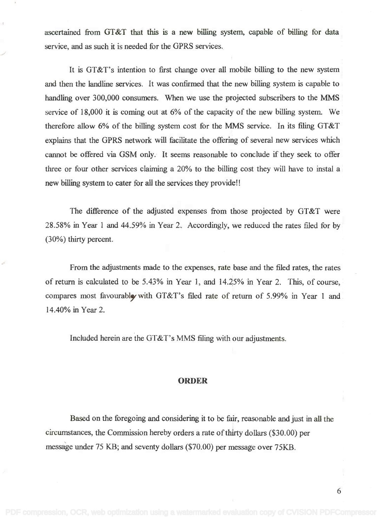ascertained from GT&T that this is a new billing system, capable of billing for data ascertained from GT&T that this is a new billing system, capable of billing for data service, and as such it is needed for the GPRS services.

It is GT&T's intention to first change over all mobile billing to the new system It is GT&T's intention to first change over all mobile billing to the new system and then the landline services. It was confirmed that the new billing system is capable to handling over 300,000 consumers. When we use the projected subscribers to the MMS service of 18,000 it is coming out at 6% of the capacity of the new billing system. We service of 18,000 it is coming out at 6% of the capacity of the new billing system. We' therefore allow 6% of the billing system cost for the MMS service. In its filing GT&T therefore allow 6% of the billing system cost for the MMS service. In its filing GT&T explains that the GPRS network will facilitate the offering of several new services which explains that the GPRS network will facilitate the offering of several new services which cannot be offered via GSM only. It seems reasonable to conclude if they seek to offer three or four other services claiming a 20% to the billing cost they will have to instal a three or four other services claiming a 20% to the billing cost they will have to instal a new billing system to cater for all the services they provide!! new billing system to cater for all the services they provide!!

The difference of the adjusted expenses from those projected by GT&T were The difference of the adjusted expenses from those projected by GT&T were 28.58% in Year 1 and 44.59% in Year 2. Accordingly, we reduced the rates filed for by 28.58% in Year 1 and 44.59% in Year 2. Accordingly, we reduced the rates filed for by (30%) thirty percent. (30%) thirty percent.

From the adjustments made to the expenses, rate base and the filed rates, the rates From the adjustments made to the expenses, rate base and the filed rates, the rates of return is calculated to be 5.43% in Year 1, and 14.25% in Year 2. This, of course, of return is calculated to be 5.43% in Year 1, and 14.25% in Year 2. This, of course, compares most favourably with GT&T's filed rate of return of 5.99% in Year 1 and 14.40% in Year 2. 14.40% in Year 2.

Included herein are the GT&T's MMS filing with our adjustments.

#### ORDER

Based on the foregoing and considering it to be fair, reasonable and just in all the Based on the foregoing and considering it to be fair, reasonable and just in all the circumstances, the Commission hereby orders a rate of thirty dollars (\$30.00) per circumstances, the Commission hereby orders a rate of thirty dollars (\$30.00) per message under 75 KB; and seventy dollars (\$70.00) per message over 75KB. message under 75 KB; and seventy dollars (\$70.00) per message over 75KB.

6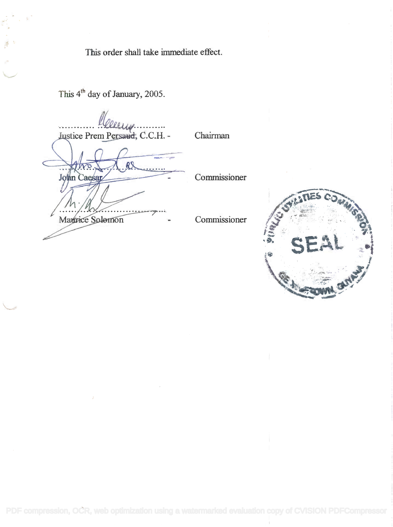This order shall take immediate effect.

This  $4^{\text{th}}$  day of January, 2005.

stice Prem Persaud, C.C.H. - Chairman ............ ~ ...•..•.... stice Prem Persaud, C.C.H. -

John Caesar Magrice Solemon Commissioner

Commissioner



[PDF compression, OCR, web optimization using a watermarked evaluation copy of CVISION PDFCompressor](http://www.cvisiontech.com)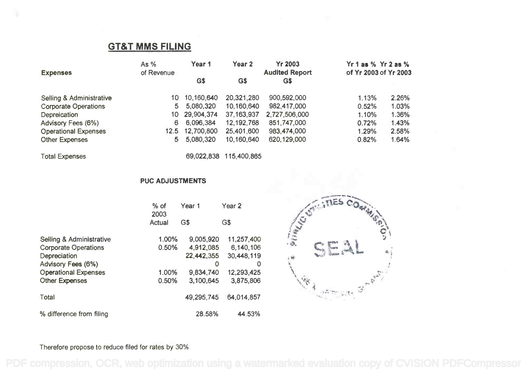## GT&T MMS FILING **GT&T MMS FILING**

|                             | As $%$     | Year 1        | Year 2     | <b>Yr 2003</b>        | $Yr1$ as % $Yr2$ as % |       |  |
|-----------------------------|------------|---------------|------------|-----------------------|-----------------------|-------|--|
| <b>Expenses</b>             | of Revenue |               |            | <b>Audited Report</b> | of Yr 2003 of Yr 2003 |       |  |
|                             |            | G\$           | G\$        | <b>GS</b>             |                       |       |  |
| Selling & Administrative    | 10.        | 10.160.640    | 20.321.280 | 900.592.000           | 1.13%                 | 2.26% |  |
| <b>Corporate Operations</b> | 5.         | 5,080,320     | 10.160,640 | 982,417,000           | 0.52%                 | 1.03% |  |
| Depreication                |            | 10 29,904,374 | 37.163.937 | 2.727.506.000         | 1.10%                 | 1.36% |  |
| Advisory Fees (6%)          | 6          | 6.096.384     | 12.192.768 | 851.747.000           | 0.72%                 | 1.43% |  |
| <b>Operational Expenses</b> | 12.5       | 12,700,800    | 25,401,600 | 983,474,000           | 1.29%                 | 2.58% |  |
| <b>Other Expenses</b>       | 5.         | 5,080,320     | 10.160.640 | 620.129.000           | 0.82%                 | 1.64% |  |

Total Expenses 69,022,838 115,400,865 Total Expenses 69,022,838 115,400,865

#### PUC ADJUSTMENTS **PUC ADJUSTMENTS**

|                                                   | $%$ of<br>2003 | Year 1                  | Year 2                  |        |
|---------------------------------------------------|----------------|-------------------------|-------------------------|--------|
|                                                   | Actual         | G\$                     | G\$                     |        |
| Selling & Administrative                          | 1.00%          | 9,005,920               | 11,257,400              | SINKER |
| <b>Corporate Operations</b><br>Depreciation       | 0.50%          | 4,912,085<br>22,442,355 | 6,140,106<br>30.448.119 |        |
| Advisory Fees (6%)<br><b>Operational Expenses</b> | 1.00%          | 9,834,740               | 0<br>12,293,425         |        |
| <b>Other Expenses</b>                             | 0.50%          | 3,100,645               | 3,875,806               |        |
| Total                                             |                | 49,295,745              | 64,014,857              |        |
| % difference from filing                          |                | 28.58%                  | 44.53%                  |        |



Therefore propose to reduce filed for rates by 30%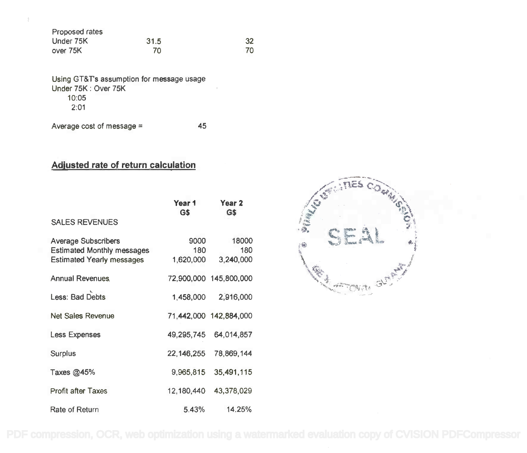| Proposed rates |      |     |
|----------------|------|-----|
| Under 75K      | 31.5 | -32 |
| over 75K       | 70   | 70  |

Using GT&Ts assumption for message usage Using GT&T's assumption for message usage Under 75K : Over 75K Under 75K : Over 75K 10:05 10:05 2:01 2:01

Average cost of message  $=$  45

## Adjusted rate of return calculation

|                                                                                       | Year 1<br>G\$            | Year 2<br>G\$             |                         |
|---------------------------------------------------------------------------------------|--------------------------|---------------------------|-------------------------|
| <b>SALES REVENUES</b>                                                                 |                          |                           |                         |
| Average Subscribers<br>Estimated Monthly messages<br><b>Estimated Yearly messages</b> | 9000<br>180<br>1,620,000 | 18000<br>180<br>3,240,000 | Contractor of the Party |
| <b>Annual Revenues</b>                                                                |                          | 72,900,000 145,800,000    |                         |
| Less: Bad Debts                                                                       |                          | 1,458,000 2,916,000       |                         |
| <b>Net Sales Revenue</b>                                                              |                          | 71,442,000 142,884,000    |                         |
| <b>Less Expenses</b>                                                                  | 49,295,745               | 64,014,857                |                         |
| Surplus                                                                               | 22,146,255               | 78,869,144                |                         |
| Taxes $@45\%$                                                                         | 9,965,815                | 35,491,115                |                         |
| <b>Profit after Taxes</b>                                                             |                          | 12,180,440 43,378,029     |                         |
| Rate of Return                                                                        | 5.43%                    | 14.25%                    |                         |